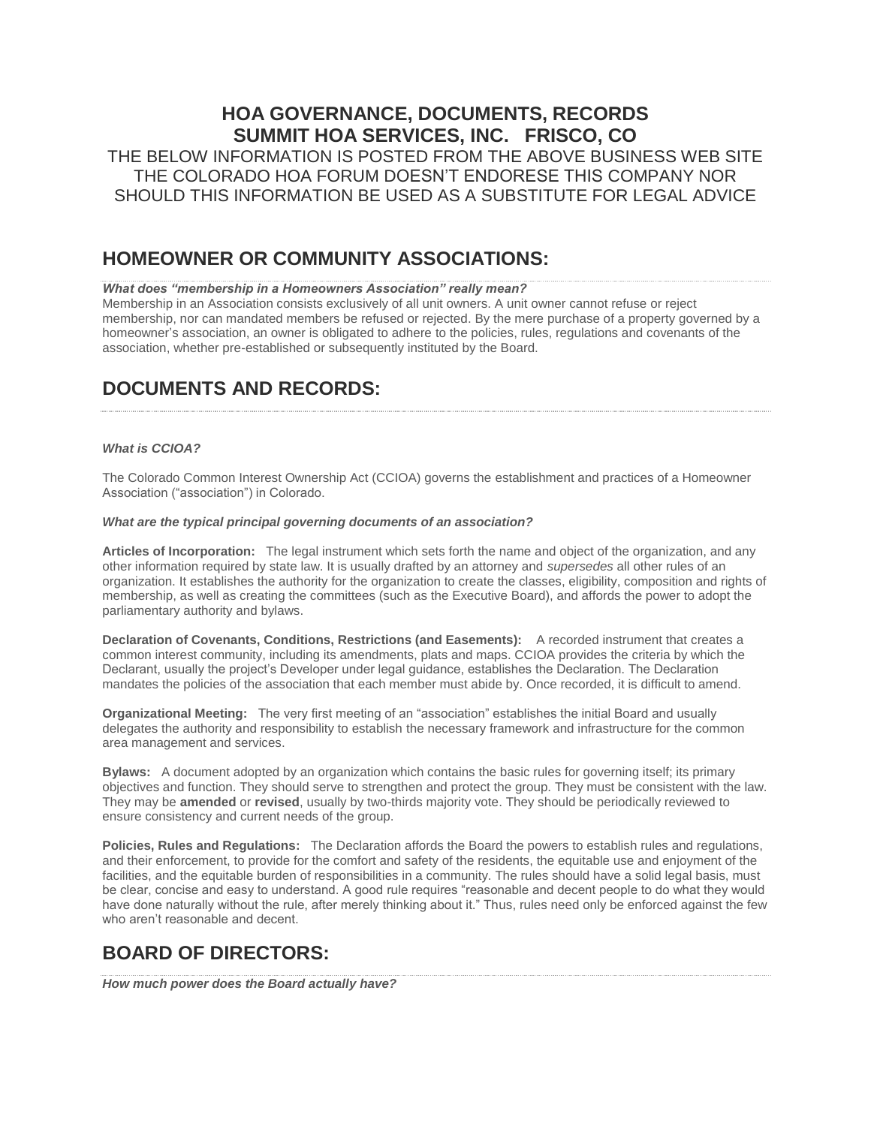## **HOA GOVERNANCE, DOCUMENTS, RECORDS SUMMIT HOA SERVICES, INC. FRISCO, CO**

THE BELOW INFORMATION IS POSTED FROM THE ABOVE BUSINESS WEB SITE THE COLORADO HOA FORUM DOESN'T ENDORESE THIS COMPANY NOR SHOULD THIS INFORMATION BE USED AS A SUBSTITUTE FOR LEGAL ADVICE

## **HOMEOWNER OR COMMUNITY ASSOCIATIONS:**

### *What does "membership in a Homeowners Association" really mean?*

Membership in an Association consists exclusively of all unit owners. A unit owner cannot refuse or reject membership, nor can mandated members be refused or rejected. By the mere purchase of a property governed by a homeowner's association, an owner is obligated to adhere to the policies, rules, regulations and covenants of the association, whether pre-established or subsequently instituted by the Board.

# **DOCUMENTS AND RECORDS:**

### *What is CCIOA?*

The Colorado Common Interest Ownership Act (CCIOA) governs the establishment and practices of a Homeowner Association ("association") in Colorado.

### *What are the typical principal governing documents of an association?*

**Articles of Incorporation:** The legal instrument which sets forth the name and object of the organization, and any other information required by state law. It is usually drafted by an attorney and *supersedes* all other rules of an organization. It establishes the authority for the organization to create the classes, eligibility, composition and rights of membership, as well as creating the committees (such as the Executive Board), and affords the power to adopt the parliamentary authority and bylaws.

**Declaration of Covenants, Conditions, Restrictions (and Easements):** A recorded instrument that creates a common interest community, including its amendments, plats and maps. CCIOA provides the criteria by which the Declarant, usually the project's Developer under legal guidance, establishes the Declaration. The Declaration mandates the policies of the association that each member must abide by. Once recorded, it is difficult to amend.

**Organizational Meeting:** The very first meeting of an "association" establishes the initial Board and usually delegates the authority and responsibility to establish the necessary framework and infrastructure for the common area management and services.

**Bylaws:** A document adopted by an organization which contains the basic rules for governing itself; its primary objectives and function. They should serve to strengthen and protect the group. They must be consistent with the law. They may be **amended** or **revised**, usually by two-thirds majority vote. They should be periodically reviewed to ensure consistency and current needs of the group.

**Policies, Rules and Regulations:** The Declaration affords the Board the powers to establish rules and regulations, and their enforcement, to provide for the comfort and safety of the residents, the equitable use and enjoyment of the facilities, and the equitable burden of responsibilities in a community. The rules should have a solid legal basis, must be clear, concise and easy to understand. A good rule requires "reasonable and decent people to do what they would have done naturally without the rule, after merely thinking about it." Thus, rules need only be enforced against the few who aren't reasonable and decent.

# **BOARD OF DIRECTORS:**

*How much power does the Board actually have?*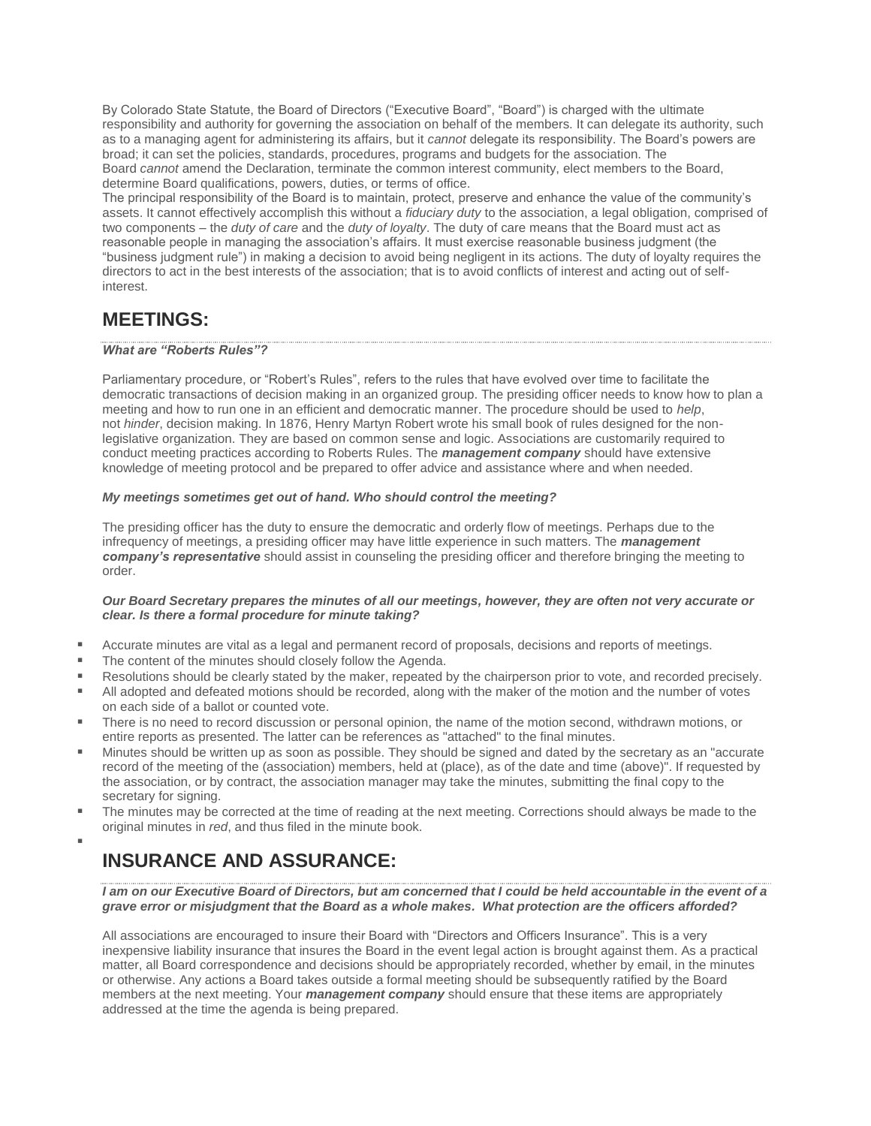By Colorado State Statute, the Board of Directors ("Executive Board", "Board") is charged with the ultimate responsibility and authority for governing the association on behalf of the members. It can delegate its authority, such as to a managing agent for administering its affairs, but it *cannot* delegate its responsibility. The Board's powers are broad; it can set the policies, standards, procedures, programs and budgets for the association. The Board *cannot* amend the Declaration, terminate the common interest community, elect members to the Board, determine Board qualifications, powers, duties, or terms of office.

The principal responsibility of the Board is to maintain, protect, preserve and enhance the value of the community's assets. It cannot effectively accomplish this without a *fiduciary duty* to the association, a legal obligation, comprised of two components – the *duty of care* and the *duty of loyalty*. The duty of care means that the Board must act as reasonable people in managing the association's affairs. It must exercise reasonable business judgment (the "business judgment rule") in making a decision to avoid being negligent in its actions. The duty of loyalty requires the directors to act in the best interests of the association; that is to avoid conflicts of interest and acting out of selfinterest.

## **MEETINGS:**

### *What are "Roberts Rules"?*

Parliamentary procedure, or "Robert's Rules", refers to the rules that have evolved over time to facilitate the democratic transactions of decision making in an organized group. The presiding officer needs to know how to plan a meeting and how to run one in an efficient and democratic manner. The procedure should be used to *help*, not *hinder*, decision making. In 1876, Henry Martyn Robert wrote his small book of rules designed for the nonlegislative organization. They are based on common sense and logic. Associations are customarily required to conduct meeting practices according to Roberts Rules. The *management company* should have extensive knowledge of meeting protocol and be prepared to offer advice and assistance where and when needed.

### *My meetings sometimes get out of hand. Who should control the meeting?*

The presiding officer has the duty to ensure the democratic and orderly flow of meetings. Perhaps due to the infrequency of meetings, a presiding officer may have little experience in such matters. The *management company's representative* should assist in counseling the presiding officer and therefore bringing the meeting to order.

### *Our Board Secretary prepares the minutes of all our meetings, however, they are often not very accurate or clear. Is there a formal procedure for minute taking?*

- Accurate minutes are vital as a legal and permanent record of proposals, decisions and reports of meetings.
- The content of the minutes should closely follow the Agenda.
- Resolutions should be clearly stated by the maker, repeated by the chairperson prior to vote, and recorded precisely.
- All adopted and defeated motions should be recorded, along with the maker of the motion and the number of votes on each side of a ballot or counted vote.
- There is no need to record discussion or personal opinion, the name of the motion second, withdrawn motions, or entire reports as presented. The latter can be references as "attached" to the final minutes.
- Minutes should be written up as soon as possible. They should be signed and dated by the secretary as an "accurate" record of the meeting of the (association) members, held at (place), as of the date and time (above)". If requested by the association, or by contract, the association manager may take the minutes, submitting the final copy to the secretary for signing.
- The minutes may be corrected at the time of reading at the next meeting. Corrections should always be made to the original minutes in *red*, and thus filed in the minute book.

# **INSURANCE AND ASSURANCE:**

▪

*I am on our Executive Board of Directors, but am concerned that I could be held accountable in the event of a grave error or misjudgment that the Board as a whole makes. What protection are the officers afforded?*

All associations are encouraged to insure their Board with "Directors and Officers Insurance". This is a very inexpensive liability insurance that insures the Board in the event legal action is brought against them. As a practical matter, all Board correspondence and decisions should be appropriately recorded, whether by email, in the minutes or otherwise. Any actions a Board takes outside a formal meeting should be subsequently ratified by the Board members at the next meeting. Your *management company* should ensure that these items are appropriately addressed at the time the agenda is being prepared.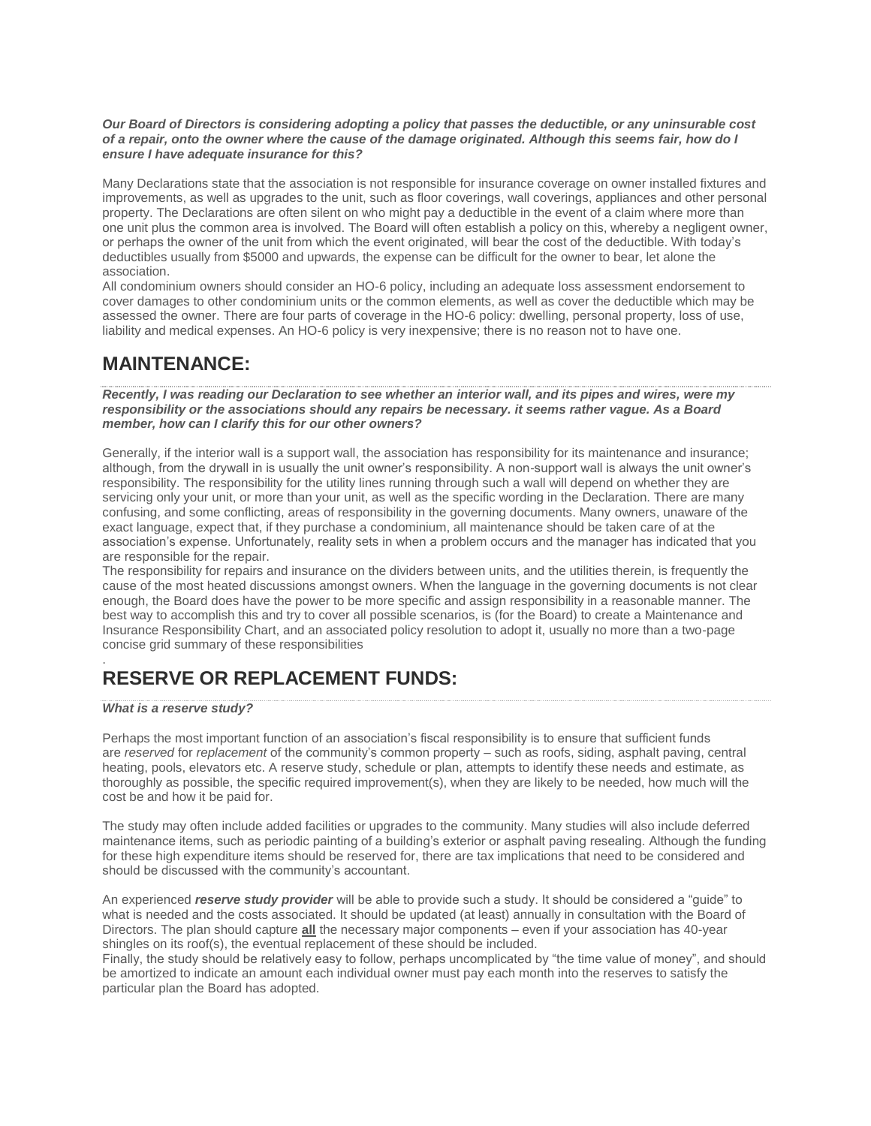### *Our Board of Directors is considering adopting a policy that passes the deductible, or any uninsurable cost of a repair, onto the owner where the cause of the damage originated. Although this seems fair, how do I ensure I have adequate insurance for this?*

Many Declarations state that the association is not responsible for insurance coverage on owner installed fixtures and improvements, as well as upgrades to the unit, such as floor coverings, wall coverings, appliances and other personal property. The Declarations are often silent on who might pay a deductible in the event of a claim where more than one unit plus the common area is involved. The Board will often establish a policy on this, whereby a negligent owner, or perhaps the owner of the unit from which the event originated, will bear the cost of the deductible. With today's deductibles usually from \$5000 and upwards, the expense can be difficult for the owner to bear, let alone the association.

All condominium owners should consider an HO-6 policy, including an adequate loss assessment endorsement to cover damages to other condominium units or the common elements, as well as cover the deductible which may be assessed the owner. There are four parts of coverage in the HO-6 policy: dwelling, personal property, loss of use, liability and medical expenses. An HO-6 policy is very inexpensive; there is no reason not to have one.

## **MAINTENANCE:**

*Recently, I was reading our Declaration to see whether an interior wall, and its pipes and wires, were my responsibility or the associations should any repairs be necessary. it seems rather vague. As a Board member, how can I clarify this for our other owners?*

Generally, if the interior wall is a support wall, the association has responsibility for its maintenance and insurance; although, from the drywall in is usually the unit owner's responsibility. A non-support wall is always the unit owner's responsibility. The responsibility for the utility lines running through such a wall will depend on whether they are servicing only your unit, or more than your unit, as well as the specific wording in the Declaration. There are many confusing, and some conflicting, areas of responsibility in the governing documents. Many owners, unaware of the exact language, expect that, if they purchase a condominium, all maintenance should be taken care of at the association's expense. Unfortunately, reality sets in when a problem occurs and the manager has indicated that you are responsible for the repair.

The responsibility for repairs and insurance on the dividers between units, and the utilities therein, is frequently the cause of the most heated discussions amongst owners. When the language in the governing documents is not clear enough, the Board does have the power to be more specific and assign responsibility in a reasonable manner. The best way to accomplish this and try to cover all possible scenarios, is (for the Board) to create a Maintenance and Insurance Responsibility Chart, and an associated policy resolution to adopt it, usually no more than a two-page concise grid summary of these responsibilities

### . **RESERVE OR REPLACEMENT FUNDS:**

### *What is a reserve study?*

Perhaps the most important function of an association's fiscal responsibility is to ensure that sufficient funds are *reserved* for *replacement* of the community's common property – such as roofs, siding, asphalt paving, central heating, pools, elevators etc. A reserve study, schedule or plan, attempts to identify these needs and estimate, as thoroughly as possible, the specific required improvement(s), when they are likely to be needed, how much will the cost be and how it be paid for.

The study may often include added facilities or upgrades to the community. Many studies will also include deferred maintenance items, such as periodic painting of a building's exterior or asphalt paving resealing. Although the funding for these high expenditure items should be reserved for, there are tax implications that need to be considered and should be discussed with the community's accountant.

An experienced *reserve study provider* will be able to provide such a study. It should be considered a "guide" to what is needed and the costs associated. It should be updated (at least) annually in consultation with the Board of Directors. The plan should capture **all** the necessary major components – even if your association has 40-year shingles on its roof(s), the eventual replacement of these should be included.

Finally, the study should be relatively easy to follow, perhaps uncomplicated by "the time value of money", and should be amortized to indicate an amount each individual owner must pay each month into the reserves to satisfy the particular plan the Board has adopted.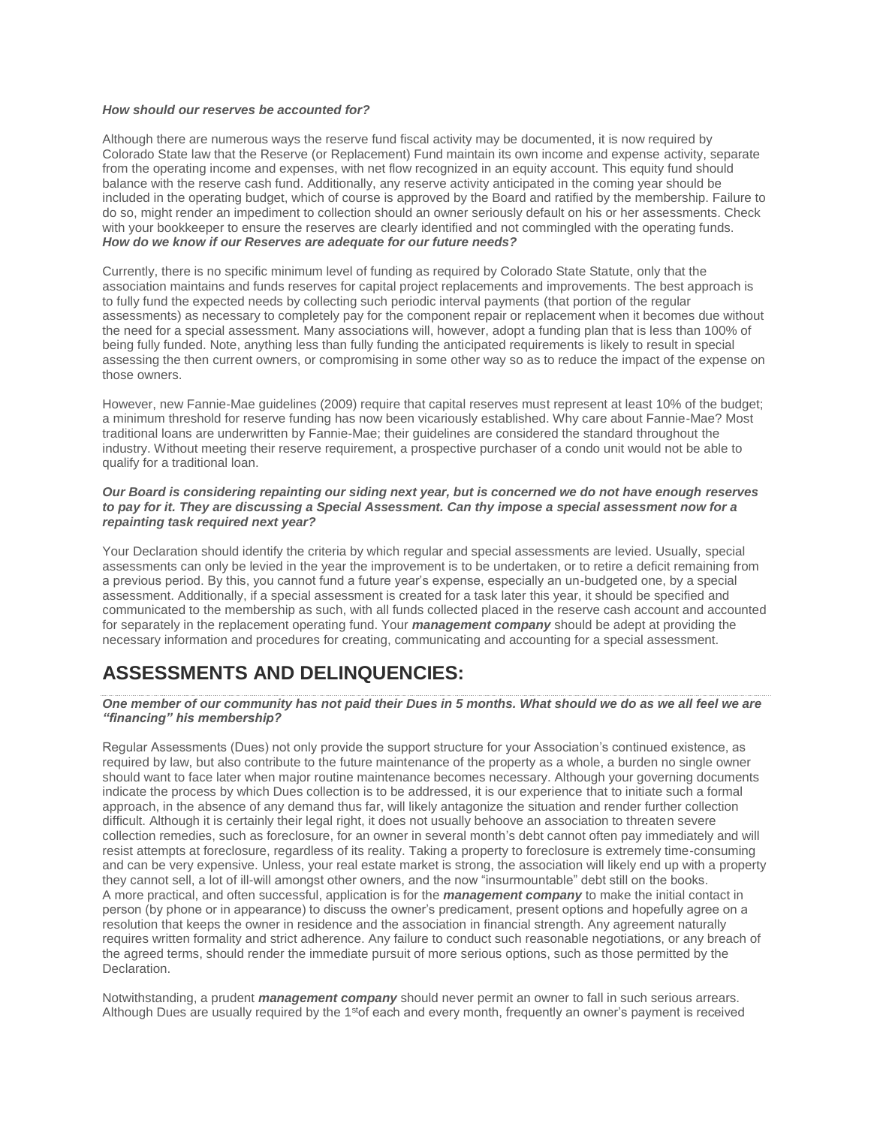### *How should our reserves be accounted for?*

Although there are numerous ways the reserve fund fiscal activity may be documented, it is now required by Colorado State law that the Reserve (or Replacement) Fund maintain its own income and expense activity, separate from the operating income and expenses, with net flow recognized in an equity account. This equity fund should balance with the reserve cash fund. Additionally, any reserve activity anticipated in the coming year should be included in the operating budget, which of course is approved by the Board and ratified by the membership. Failure to do so, might render an impediment to collection should an owner seriously default on his or her assessments. Check with your bookkeeper to ensure the reserves are clearly identified and not commingled with the operating funds. *How do we know if our Reserves are adequate for our future needs?*

Currently, there is no specific minimum level of funding as required by Colorado State Statute, only that the association maintains and funds reserves for capital project replacements and improvements. The best approach is to fully fund the expected needs by collecting such periodic interval payments (that portion of the regular assessments) as necessary to completely pay for the component repair or replacement when it becomes due without the need for a special assessment. Many associations will, however, adopt a funding plan that is less than 100% of being fully funded. Note, anything less than fully funding the anticipated requirements is likely to result in special assessing the then current owners, or compromising in some other way so as to reduce the impact of the expense on those owners.

However, new Fannie-Mae guidelines (2009) require that capital reserves must represent at least 10% of the budget; a minimum threshold for reserve funding has now been vicariously established. Why care about Fannie-Mae? Most traditional loans are underwritten by Fannie-Mae; their guidelines are considered the standard throughout the industry. Without meeting their reserve requirement, a prospective purchaser of a condo unit would not be able to qualify for a traditional loan.

### *Our Board is considering repainting our siding next year, but is concerned we do not have enough reserves to pay for it. They are discussing a Special Assessment. Can thy impose a special assessment now for a repainting task required next year?*

Your Declaration should identify the criteria by which regular and special assessments are levied. Usually, special assessments can only be levied in the year the improvement is to be undertaken, or to retire a deficit remaining from a previous period. By this, you cannot fund a future year's expense, especially an un-budgeted one, by a special assessment. Additionally, if a special assessment is created for a task later this year, it should be specified and communicated to the membership as such, with all funds collected placed in the reserve cash account and accounted for separately in the replacement operating fund. Your *management company* should be adept at providing the necessary information and procedures for creating, communicating and accounting for a special assessment.

## **ASSESSMENTS AND DELINQUENCIES:**

### *One member of our community has not paid their Dues in 5 months. What should we do as we all feel we are "financing" his membership?*

Regular Assessments (Dues) not only provide the support structure for your Association's continued existence, as required by law, but also contribute to the future maintenance of the property as a whole, a burden no single owner should want to face later when major routine maintenance becomes necessary. Although your governing documents indicate the process by which Dues collection is to be addressed, it is our experience that to initiate such a formal approach, in the absence of any demand thus far, will likely antagonize the situation and render further collection difficult. Although it is certainly their legal right, it does not usually behoove an association to threaten severe collection remedies, such as foreclosure, for an owner in several month's debt cannot often pay immediately and will resist attempts at foreclosure, regardless of its reality. Taking a property to foreclosure is extremely time-consuming and can be very expensive. Unless, your real estate market is strong, the association will likely end up with a property they cannot sell, a lot of ill-will amongst other owners, and the now "insurmountable" debt still on the books. A more practical, and often successful, application is for the *management company* to make the initial contact in person (by phone or in appearance) to discuss the owner's predicament, present options and hopefully agree on a resolution that keeps the owner in residence and the association in financial strength. Any agreement naturally requires written formality and strict adherence. Any failure to conduct such reasonable negotiations, or any breach of the agreed terms, should render the immediate pursuit of more serious options, such as those permitted by the Declaration.

Notwithstanding, a prudent *management company* should never permit an owner to fall in such serious arrears. Although Dues are usually required by the 1<sup>st</sup> of each and every month, frequently an owner's payment is received